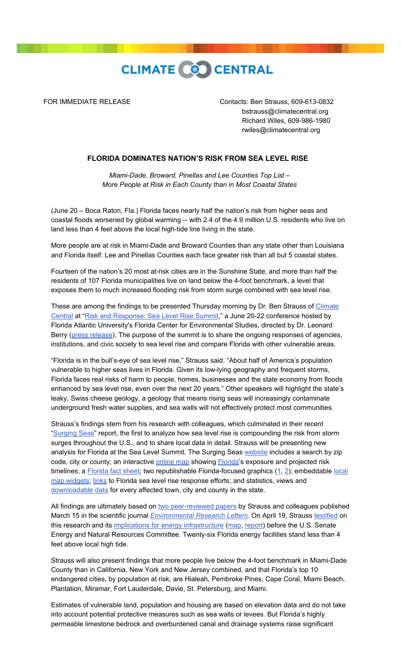

 FOR IMMEDIATE RELEASE Contacts: Ben Strauss, 609-613-0832 bstrauss@climatecentral.org Richard Wiles, 609-986-1980 rwiles@climatecentral.org

## **FLORIDA DOMINATES NATION'S RISK FROM SEA LEVEL RISE**

*Miami-Dade, Broward, Pinellas and Lee Counties Top List – More People at Risk in Each County than in Most Coastal States* 

(June 20 – Boca Raton, Fla.) Florida faces nearly half the nation's risk from higher seas and coastal floods worsened by global warming -- with 2.4 of the 4.9 million U.S. residents who live on land less than 4 feet above the local high-tide line living in the state.

More people are at risk in Miami-Dade and Broward Counties than any state other than Louisiana and Florida itself. Lee and Pinellas Counties each face greater risk than all but 5 coastal states.

Fourteen of the nation's 20 most at-risk cities are in the Sunshine State, and more than half the residents of 107 Florida municipalities live on land below the 4-foot benchmark, a level that exposes them to much increased flooding risk from storm surge combined with sea level rise.

[These are among the findings to be presented Thursday morning by Dr. Ben Strauss of Climate](http://www.climatecentral.org/?source=slrPR) Central at ["Risk and Response: Sea Level Rise Summit,](http://www.ces.fau.edu/SLR2012)" a June 20-22 conference hosted by Florida Atlantic University's Florida Center for Environmental Studies, directed by Dr. Leonard Berry [\(press release\)](http://www.fau.edu/mediarelations/releases0512/051225.php). The purpose of the summit is to share the ongoing responses of agencies, institutions, and civic society to sea level rise and compare Florida with other vulnerable areas.

"Florida is in the bull's-eye of sea level rise," Strauss said. "About half of America's population vulnerable to higher seas lives in Florida. Given its low-lying geography and frequent storms, Florida faces real risks of harm to people, homes, businesses and the state economy from floods enhanced by sea level rise, even over the next 20 years." Other speakers will highlight the state's leaky, Swiss cheese geology, a geology that means rising seas will increasingly contaminate underground fresh water supplies, and sea walls will not effectively protect most communities.

Strauss's findings stem from his research with colleagues, which culminated in their recent ["Surging Seas"](http://sealevel.climatecentral.org/research/reports/surging-seas/?source=slrPR) report, the first to analyze how sea level rise is compounding the risk from storm surges throughout the U.S., and to share local data in detail. Strauss will be presenting new analysis for Florida at the Sea Level Summit. The Surging Seas [website](http://sealevel.climatecentral.org/?source=slrPR) includes a search by zip code, city or county; an interactive [online map](http://sealevel.climatecentral.org/surgingseas/?source=slrPR) showing **Florida's exposure and projected risk** [timelines; a](http://sealevel.climatecentral.org/research/data-downloads/?source=slrPR) [Florida fact sheet](http://sealevel.climatecentral.org/surgingseas/factsheets/Florida.pdf); two republishable Florida-focused graphics  $(1, 2)$  $(1, 2)$  $(1, 2)$  $(1, 2)$  $(1, 2)$ ; embeddable local map widgets; [links](http://sealevel.climatecentral.org/responses/plans/#Florida?source=slrPR) to Florida sea level rise response efforts; and statistics, views and [downloadable data](http://sealevel.climatecentral.org/research/data-downloads/?source=slrPR) for every affected town, city and county in the state.

All findings are ultimately based on [two peer-reviewed papers](http://sealevel.climatecentral.org/research/papers/?source=slrPR) by Strauss and colleagues published March 15 in the scientific journal *[Environmental Research Letters](http://erl.iop.org/)*. On April 19, Strauss [testified](http://www.energy.senate.gov/public/index.cfm/hearings-and-business-meetings?ID=d841f31d-9b1a-4e7e-b6df-43c8f4ba11b1) on this research and its [implications for energy infrastructure](http://www.climatecentral.org/news/senate-climate-change-hearing-focuses-on-sea-level-rise/?source=slrPR) ([map](http://sealevel.climatecentral.org/maps/energy-infrastructure-threat-from-sea-level-rise-page?source=slrPR), [report](http://slr.s3.amazonaws.com/SLR-Threats-to-Energy-Infrastructure.pdf)) before the U.S. Senate Energy and Natural Resources Committee. Twenty-six Florida energy facilities stand less than 4 feet above local high tide.

Strauss will also present findings that more people live below the 4-foot benchmark in Miami-Dade County than in California, New York and New Jersey combined, and that Florida's top 10 endangered cities, by population at risk, are Hialeah, Pembroke Pines, Cape Coral, Miami Beach, Plantation, Miramar, Fort Lauderdale, Davie, St. Petersburg, and Miami.

Estimates of vulnerable land, population and housing are based on elevation data and do not take into account potential protective measures such as sea walls or levees. But Florida's highly permeable limestone bedrock and overburdened canal and drainage systems raise significant